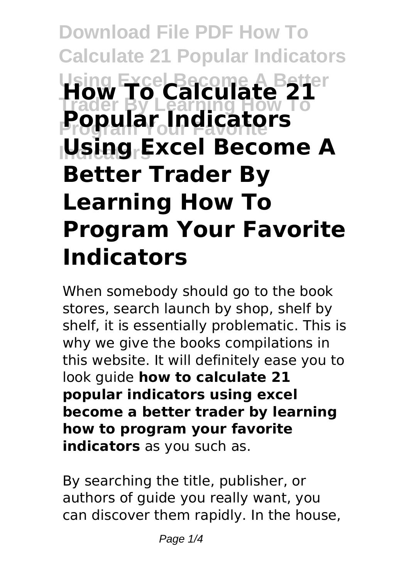# **Download File PDF How To Calculate 21 Popular Indicators Using Excel Become A Better How To Calculate 21 Trader By Learning How To Popular Indicators Indicators Using Excel Become A Better Trader By Learning How To Program Your Favorite Indicators**

When somebody should go to the book stores, search launch by shop, shelf by shelf, it is essentially problematic. This is why we give the books compilations in this website. It will definitely ease you to look guide **how to calculate 21 popular indicators using excel become a better trader by learning how to program your favorite indicators** as you such as.

By searching the title, publisher, or authors of guide you really want, you can discover them rapidly. In the house,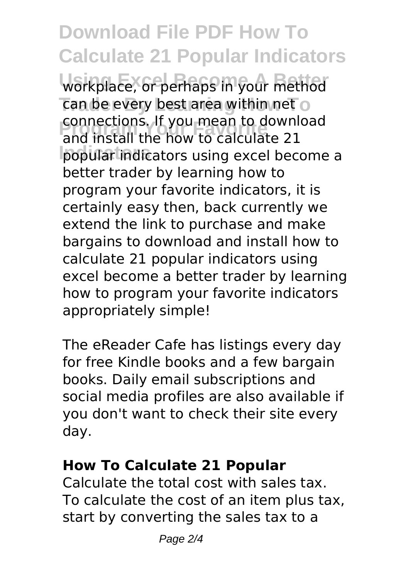**Download File PDF How To Calculate 21 Popular Indicators** workplace, or perhaps in your method **Trader By Learning By Leap Four Straders Program Your Favorite** and install the how to calculate 21 **Indicators** popular indicators using excel become a connections. If you mean to download better trader by learning how to program your favorite indicators, it is certainly easy then, back currently we extend the link to purchase and make bargains to download and install how to calculate 21 popular indicators using excel become a better trader by learning how to program your favorite indicators appropriately simple!

The eReader Cafe has listings every day for free Kindle books and a few bargain books. Daily email subscriptions and social media profiles are also available if you don't want to check their site every day.

#### **How To Calculate 21 Popular**

Calculate the total cost with sales tax. To calculate the cost of an item plus tax, start by converting the sales tax to a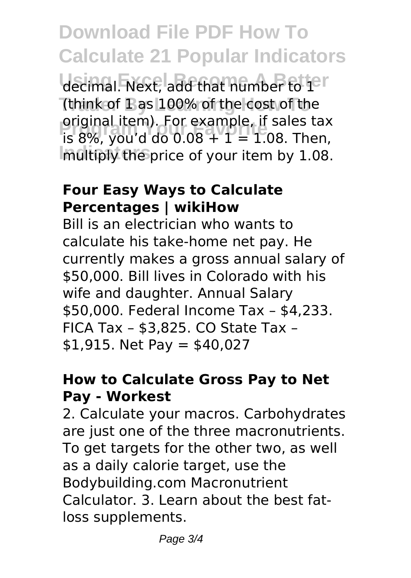**Download File PDF How To Calculate 21 Popular Indicators** decimal. Next, add that number to 1<sup>9</sup> **Trader By Learning How To** (think of 1 as 100% of the cost of the **Program Tem). For example, if sales tax**<br>is 8%, you'd do 0.08 + 1 = 1.08. Then, **Indicators** multiply the price of your item by 1.08. original item). For example, if sales tax

#### **Four Easy Ways to Calculate Percentages | wikiHow**

Bill is an electrician who wants to calculate his take-home net pay. He currently makes a gross annual salary of \$50,000. Bill lives in Colorado with his wife and daughter. Annual Salary \$50,000. Federal Income Tax – \$4,233. FICA Tax – \$3,825. CO State Tax –  $$1,915.$  Net Pay = \$40,027

### **How to Calculate Gross Pay to Net Pay - Workest**

2. Calculate your macros. Carbohydrates are just one of the three macronutrients. To get targets for the other two, as well as a daily calorie target, use the Bodybuilding.com Macronutrient Calculator. 3. Learn about the best fatloss supplements.